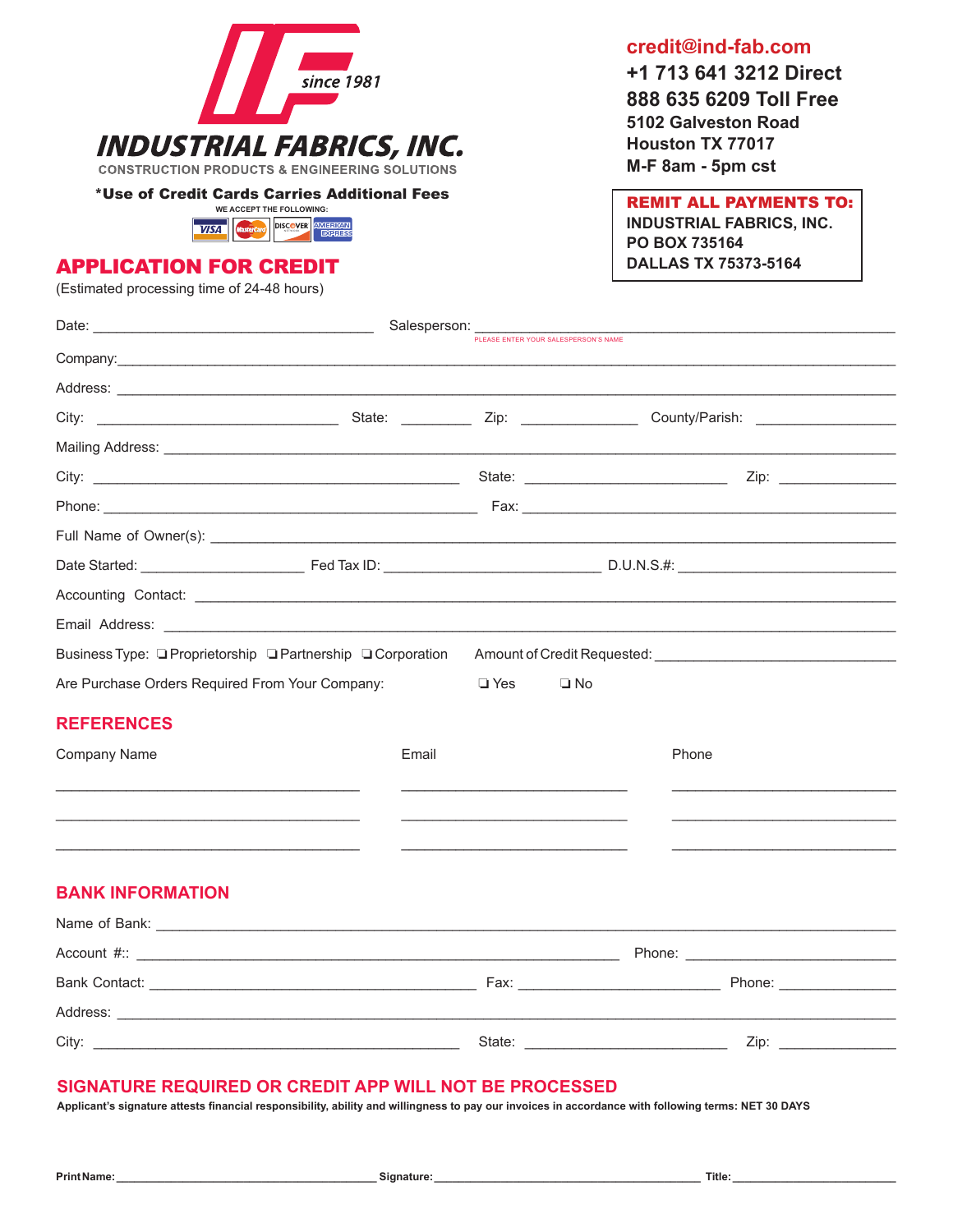

\*Use of Credit Cards Carries Additional Fees



### APPLICATION FOR CREDIT

(Estimated processing time of 24-48 hours)

**credit@ind-fab.com** 

**+1 713 641 3212 Direct 888 635 6209 Toll Free 5102 Galveston Road Houston TX 77017 M-F 8am - 5pm cst**

REMIT ALL PAYMENTS TO: **INDUSTRIAL FABRICS, INC. PO BOX 735164 DALLAS TX 75373-5164**

| Date: <u>National Salesperson:</u> Salesperson: PLEASE ENTER YOUR SALESPERSON'S NAME                                                                                                                                                 |       |                                                                                                                                                                                                                                |           |                                                                       |  |
|--------------------------------------------------------------------------------------------------------------------------------------------------------------------------------------------------------------------------------------|-------|--------------------------------------------------------------------------------------------------------------------------------------------------------------------------------------------------------------------------------|-----------|-----------------------------------------------------------------------|--|
|                                                                                                                                                                                                                                      |       |                                                                                                                                                                                                                                |           |                                                                       |  |
|                                                                                                                                                                                                                                      |       |                                                                                                                                                                                                                                |           |                                                                       |  |
|                                                                                                                                                                                                                                      |       |                                                                                                                                                                                                                                |           |                                                                       |  |
| Mailing Address: <u>contract the contract of the contract of the contract of the contract of the contract of the contract of the contract of the contract of the contract of the contract of the contract of the contract of the</u> |       |                                                                                                                                                                                                                                |           |                                                                       |  |
| City: <u>City: Zip: Zip: Zip: 2000 State: Zip: 2000 State: Zip: 2000 State: Zip: 2000 State: 2000 State: 2000 State: 2000 State: 2000 State: 2000 State: 2000 State: 2000 State: 2000 State: 2000 State: 2000 State: 2000 State:</u> |       |                                                                                                                                                                                                                                |           |                                                                       |  |
|                                                                                                                                                                                                                                      |       |                                                                                                                                                                                                                                |           |                                                                       |  |
|                                                                                                                                                                                                                                      |       |                                                                                                                                                                                                                                |           |                                                                       |  |
|                                                                                                                                                                                                                                      |       |                                                                                                                                                                                                                                |           |                                                                       |  |
|                                                                                                                                                                                                                                      |       |                                                                                                                                                                                                                                |           |                                                                       |  |
|                                                                                                                                                                                                                                      |       |                                                                                                                                                                                                                                |           |                                                                       |  |
| Business Type: □ Proprietorship □ Partnership □ Corporation                                                                                                                                                                          |       |                                                                                                                                                                                                                                |           | Amount of Credit Requested: <b>Manual Amount of Credit Requested:</b> |  |
| Are Purchase Orders Required From Your Company:                                                                                                                                                                                      |       |                                                                                                                                                                                                                                | $\Box$ No |                                                                       |  |
| <b>REFERENCES</b>                                                                                                                                                                                                                    |       |                                                                                                                                                                                                                                |           |                                                                       |  |
| Company Name                                                                                                                                                                                                                         | Email |                                                                                                                                                                                                                                |           | Phone                                                                 |  |
|                                                                                                                                                                                                                                      |       |                                                                                                                                                                                                                                |           |                                                                       |  |
|                                                                                                                                                                                                                                      |       |                                                                                                                                                                                                                                |           |                                                                       |  |
|                                                                                                                                                                                                                                      |       |                                                                                                                                                                                                                                |           |                                                                       |  |
|                                                                                                                                                                                                                                      |       |                                                                                                                                                                                                                                |           |                                                                       |  |
| <b>BANK INFORMATION</b>                                                                                                                                                                                                              |       |                                                                                                                                                                                                                                |           |                                                                       |  |
| Name of Bank: Name of Bank:                                                                                                                                                                                                          |       |                                                                                                                                                                                                                                |           |                                                                       |  |
|                                                                                                                                                                                                                                      |       | Phone: the contract of the contract of the contract of the contract of the contract of the contract of the contract of the contract of the contract of the contract of the contract of the contract of the contract of the con |           |                                                                       |  |
|                                                                                                                                                                                                                                      |       |                                                                                                                                                                                                                                |           |                                                                       |  |
|                                                                                                                                                                                                                                      |       |                                                                                                                                                                                                                                |           |                                                                       |  |
|                                                                                                                                                                                                                                      |       |                                                                                                                                                                                                                                |           | State: Zip: Zip:                                                      |  |

### **SIGNATURE REQUIRED OR CREDIT APP WILL NOT BE PROCESSED**

**Applicant's signature attests financial responsibility, ability and willingness to pay our invoices in accordance with following terms: NET 30 DAYS**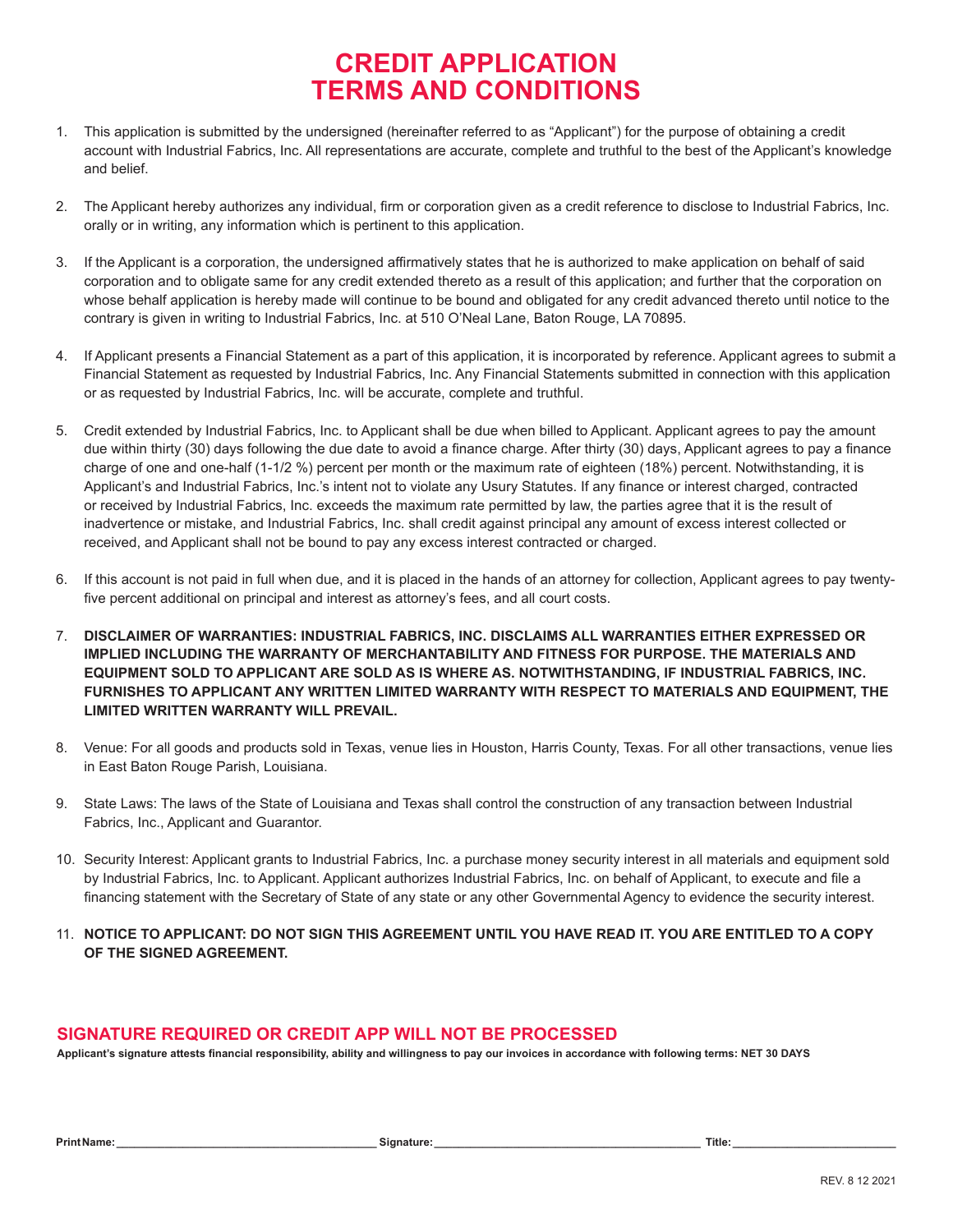# **CREDIT APPLICATION TERMS AND CONDITIONS**

- 1. This application is submitted by the undersigned (hereinafter referred to as "Applicant") for the purpose of obtaining a credit account with Industrial Fabrics, Inc. All representations are accurate, complete and truthful to the best of the Applicant's knowledge and belief.
- 2. The Applicant hereby authorizes any individual, firm or corporation given as a credit reference to disclose to Industrial Fabrics, Inc. orally or in writing, any information which is pertinent to this application.
- 3. If the Applicant is a corporation, the undersigned affirmatively states that he is authorized to make application on behalf of said corporation and to obligate same for any credit extended thereto as a result of this application; and further that the corporation on whose behalf application is hereby made will continue to be bound and obligated for any credit advanced thereto until notice to the contrary is given in writing to Industrial Fabrics, Inc. at 510 O'Neal Lane, Baton Rouge, LA 70895.
- 4. If Applicant presents a Financial Statement as a part of this application, it is incorporated by reference. Applicant agrees to submit a Financial Statement as requested by Industrial Fabrics, Inc. Any Financial Statements submitted in connection with this application or as requested by Industrial Fabrics, Inc. will be accurate, complete and truthful.
- 5. Credit extended by Industrial Fabrics, Inc. to Applicant shall be due when billed to Applicant. Applicant agrees to pay the amount due within thirty (30) days following the due date to avoid a finance charge. After thirty (30) days, Applicant agrees to pay a finance charge of one and one-half (1-1/2 %) percent per month or the maximum rate of eighteen (18%) percent. Notwithstanding, it is Applicant's and Industrial Fabrics, Inc.'s intent not to violate any Usury Statutes. If any finance or interest charged, contracted or received by Industrial Fabrics, Inc. exceeds the maximum rate permitted by law, the parties agree that it is the result of inadvertence or mistake, and Industrial Fabrics, Inc. shall credit against principal any amount of excess interest collected or received, and Applicant shall not be bound to pay any excess interest contracted or charged.
- 6. If this account is not paid in full when due, and it is placed in the hands of an attorney for collection, Applicant agrees to pay twentyfive percent additional on principal and interest as attorney's fees, and all court costs.
- 7. **DISCLAIMER OF WARRANTIES: INDUSTRIAL FABRICS, INC. DISCLAIMS ALL WARRANTIES EITHER EXPRESSED OR IMPLIED INCLUDING THE WARRANTY OF MERCHANTABILITY AND FITNESS FOR PURPOSE. THE MATERIALS AND EQUIPMENT SOLD TO APPLICANT ARE SOLD AS IS WHERE AS. NOTWITHSTANDING, IF INDUSTRIAL FABRICS, INC. FURNISHES TO APPLICANT ANY WRITTEN LIMITED WARRANTY WITH RESPECT TO MATERIALS AND EQUIPMENT, THE LIMITED WRITTEN WARRANTY WILL PREVAIL.**
- 8. Venue: For all goods and products sold in Texas, venue lies in Houston, Harris County, Texas. For all other transactions, venue lies in East Baton Rouge Parish, Louisiana.
- 9. State Laws: The laws of the State of Louisiana and Texas shall control the construction of any transaction between Industrial Fabrics, Inc., Applicant and Guarantor.
- 10. Security Interest: Applicant grants to Industrial Fabrics, Inc. a purchase money security interest in all materials and equipment sold by Industrial Fabrics, Inc. to Applicant. Applicant authorizes Industrial Fabrics, Inc. on behalf of Applicant, to execute and file a financing statement with the Secretary of State of any state or any other Governmental Agency to evidence the security interest.
- 11. **NOTICE TO APPLICANT: DO NOT SIGN THIS AGREEMENT UNTIL YOU HAVE READ IT. YOU ARE ENTITLED TO A COPY OF THE SIGNED AGREEMENT.**

### **SIGNATURE REQUIRED OR CREDIT APP WILL NOT BE PROCESSED**

**Applicant's signature attests financial responsibility, ability and willingness to pay our invoices in accordance with following terms: NET 30 DAYS**

|  |  | Print Name: |  |  |  |
|--|--|-------------|--|--|--|
|  |  |             |  |  |  |

**Print Name: \_\_\_\_\_\_\_\_\_\_\_\_\_\_\_\_\_\_\_\_\_\_\_\_\_\_\_\_\_\_\_\_\_\_\_\_\_\_\_\_\_\_\_ Signature: \_\_\_\_\_\_\_\_\_\_\_\_\_\_\_\_\_\_\_\_\_\_\_\_\_\_\_\_\_\_\_\_\_\_\_\_\_\_\_\_\_\_\_\_ Title: \_\_\_\_\_\_\_\_\_\_\_\_\_\_\_\_\_\_\_\_\_\_\_\_\_\_\_**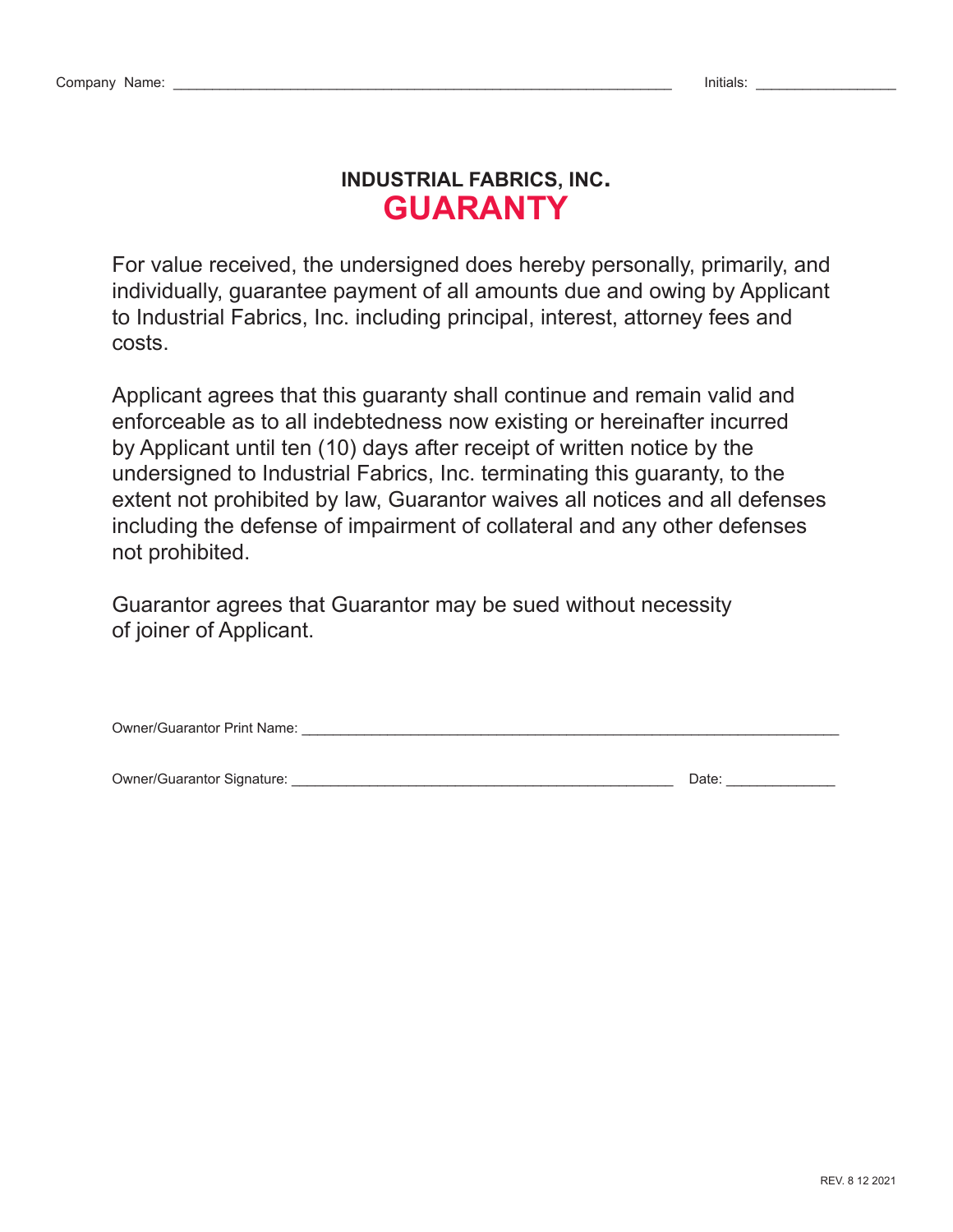# **INDUSTRIAL FABRICS, INC. GUARANTY**

For value received, the undersigned does hereby personally, primarily, and individually, guarantee payment of all amounts due and owing by Applicant to Industrial Fabrics, Inc. including principal, interest, attorney fees and costs.

Applicant agrees that this guaranty shall continue and remain valid and enforceable as to all indebtedness now existing or hereinafter incurred by Applicant until ten (10) days after receipt of written notice by the undersigned to Industrial Fabrics, Inc. terminating this guaranty, to the extent not prohibited by law, Guarantor waives all notices and all defenses including the defense of impairment of collateral and any other defenses not prohibited.

Guarantor agrees that Guarantor may be sued without necessity of joiner of Applicant.

Owner/Guarantor Print Name: \_\_\_\_\_\_\_\_\_\_\_\_\_\_\_\_\_\_\_\_\_\_\_\_\_\_\_\_\_\_\_\_\_\_\_\_\_\_\_\_\_\_\_\_\_\_\_\_\_\_\_\_\_\_\_\_\_\_\_\_\_\_\_\_\_\_\_\_\_

Owner/Guarantor Signature: \_\_\_\_\_\_\_\_\_\_\_\_\_\_\_\_\_\_\_\_\_\_\_\_\_\_\_\_\_\_\_\_\_\_\_\_\_\_\_\_\_\_\_\_\_\_\_\_\_ Date: \_\_\_\_\_\_\_\_\_\_\_\_\_\_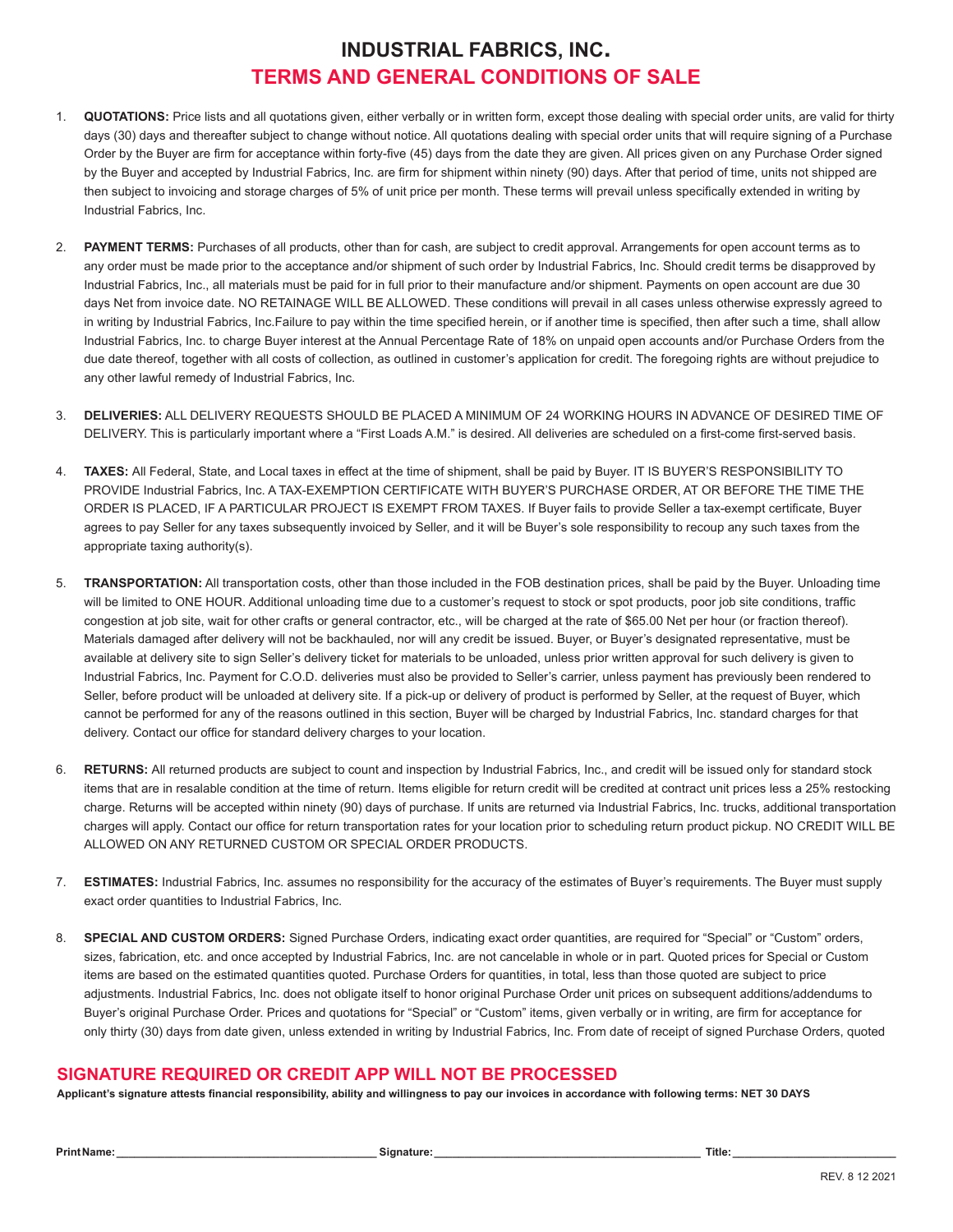## **INDUSTRIAL FABRICS, INC. TERMS AND GENERAL CONDITIONS OF SALE**

- 1. **QUOTATIONS:** Price lists and all quotations given, either verbally or in written form, except those dealing with special order units, are valid for thirty days (30) days and thereafter subject to change without notice. All quotations dealing with special order units that will require signing of a Purchase Order by the Buyer are firm for acceptance within forty-five (45) days from the date they are given. All prices given on any Purchase Order signed by the Buyer and accepted by Industrial Fabrics, Inc. are firm for shipment within ninety (90) days. After that period of time, units not shipped are then subject to invoicing and storage charges of 5% of unit price per month. These terms will prevail unless specifically extended in writing by Industrial Fabrics, Inc.
- 2. **PAYMENT TERMS:** Purchases of all products, other than for cash, are subject to credit approval. Arrangements for open account terms as to any order must be made prior to the acceptance and/or shipment of such order by Industrial Fabrics, Inc. Should credit terms be disapproved by Industrial Fabrics, Inc., all materials must be paid for in full prior to their manufacture and/or shipment. Payments on open account are due 30 days Net from invoice date. NO RETAINAGE WILL BE ALLOWED. These conditions will prevail in all cases unless otherwise expressly agreed to in writing by Industrial Fabrics, Inc.Failure to pay within the time specified herein, or if another time is specified, then after such a time, shall allow Industrial Fabrics, Inc. to charge Buyer interest at the Annual Percentage Rate of 18% on unpaid open accounts and/or Purchase Orders from the due date thereof, together with all costs of collection, as outlined in customer's application for credit. The foregoing rights are without prejudice to any other lawful remedy of Industrial Fabrics, Inc.
- 3. **DELIVERIES:** ALL DELIVERY REQUESTS SHOULD BE PLACED A MINIMUM OF 24 WORKING HOURS IN ADVANCE OF DESIRED TIME OF DELIVERY. This is particularly important where a "First Loads A.M." is desired. All deliveries are scheduled on a first-come first-served basis.
- 4. **TAXES:** All Federal, State, and Local taxes in effect at the time of shipment, shall be paid by Buyer. IT IS BUYER'S RESPONSIBILITY TO PROVIDE Industrial Fabrics, Inc. A TAX-EXEMPTION CERTIFICATE WITH BUYER'S PURCHASE ORDER, AT OR BEFORE THE TIME THE ORDER IS PLACED, IF A PARTICULAR PROJECT IS EXEMPT FROM TAXES. If Buyer fails to provide Seller a tax-exempt certificate, Buyer agrees to pay Seller for any taxes subsequently invoiced by Seller, and it will be Buyer's sole responsibility to recoup any such taxes from the appropriate taxing authority(s).
- 5. **TRANSPORTATION:** All transportation costs, other than those included in the FOB destination prices, shall be paid by the Buyer. Unloading time will be limited to ONE HOUR. Additional unloading time due to a customer's request to stock or spot products, poor job site conditions, traffic congestion at job site, wait for other crafts or general contractor, etc., will be charged at the rate of \$65.00 Net per hour (or fraction thereof). Materials damaged after delivery will not be backhauled, nor will any credit be issued. Buyer, or Buyer's designated representative, must be available at delivery site to sign Seller's delivery ticket for materials to be unloaded, unless prior written approval for such delivery is given to Industrial Fabrics, Inc. Payment for C.O.D. deliveries must also be provided to Seller's carrier, unless payment has previously been rendered to Seller, before product will be unloaded at delivery site. If a pick-up or delivery of product is performed by Seller, at the request of Buyer, which cannot be performed for any of the reasons outlined in this section, Buyer will be charged by Industrial Fabrics, Inc. standard charges for that delivery. Contact our office for standard delivery charges to your location.
- 6. **RETURNS:** All returned products are subject to count and inspection by Industrial Fabrics, Inc., and credit will be issued only for standard stock items that are in resalable condition at the time of return. Items eligible for return credit will be credited at contract unit prices less a 25% restocking charge. Returns will be accepted within ninety (90) days of purchase. If units are returned via Industrial Fabrics, Inc. trucks, additional transportation charges will apply. Contact our office for return transportation rates for your location prior to scheduling return product pickup. NO CREDIT WILL BE ALLOWED ON ANY RETURNED CUSTOM OR SPECIAL ORDER PRODUCTS.
- 7. **ESTIMATES:** Industrial Fabrics, Inc. assumes no responsibility for the accuracy of the estimates of Buyer's requirements. The Buyer must supply exact order quantities to Industrial Fabrics, Inc.
- 8. **SPECIAL AND CUSTOM ORDERS:** Signed Purchase Orders, indicating exact order quantities, are required for "Special" or "Custom" orders, sizes, fabrication, etc. and once accepted by Industrial Fabrics, Inc. are not cancelable in whole or in part. Quoted prices for Special or Custom items are based on the estimated quantities quoted. Purchase Orders for quantities, in total, less than those quoted are subject to price adjustments. Industrial Fabrics, Inc. does not obligate itself to honor original Purchase Order unit prices on subsequent additions/addendums to Buyer's original Purchase Order. Prices and quotations for "Special" or "Custom" items, given verbally or in writing, are firm for acceptance for only thirty (30) days from date given, unless extended in writing by Industrial Fabrics, Inc. From date of receipt of signed Purchase Orders, quoted

### **SIGNATURE REQUIRED OR CREDIT APP WILL NOT BE PROCESSED**

**Applicant's signature attests financial responsibility, ability and willingness to pay our invoices in accordance with following terms: NET 30 DAYS**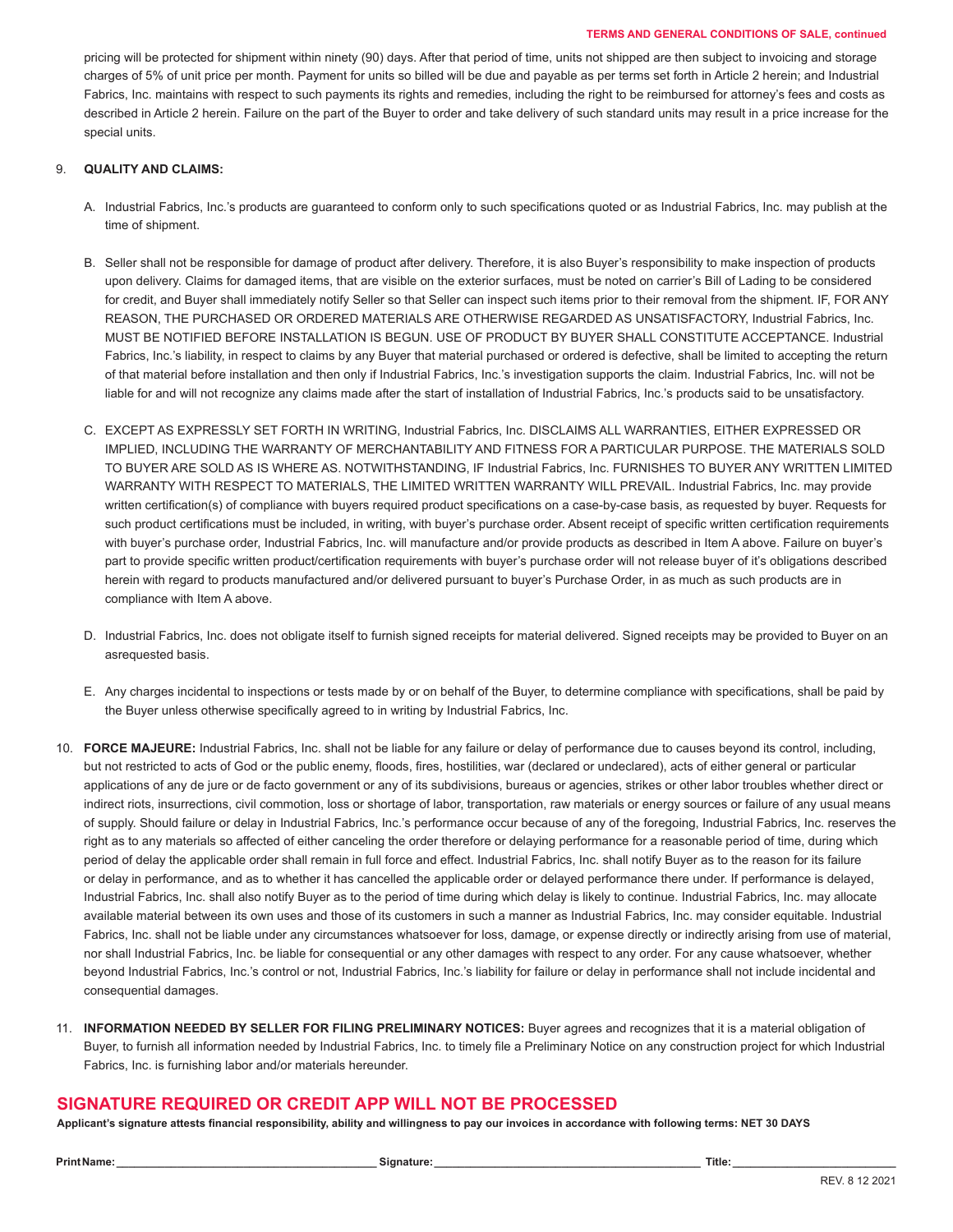#### **TERMS AND GENERAL CONDITIONS OF SALE, continued**

pricing will be protected for shipment within ninety (90) days. After that period of time, units not shipped are then subject to invoicing and storage charges of 5% of unit price per month. Payment for units so billed will be due and payable as per terms set forth in Article 2 herein; and Industrial Fabrics, Inc. maintains with respect to such payments its rights and remedies, including the right to be reimbursed for attorney's fees and costs as described in Article 2 herein. Failure on the part of the Buyer to order and take delivery of such standard units may result in a price increase for the special units.

#### 9. **QUALITY AND CLAIMS:**

- A. Industrial Fabrics, Inc.'s products are guaranteed to conform only to such specifications quoted or as Industrial Fabrics, Inc. may publish at the time of shipment.
- B. Seller shall not be responsible for damage of product after delivery. Therefore, it is also Buyer's responsibility to make inspection of products upon delivery. Claims for damaged items, that are visible on the exterior surfaces, must be noted on carrier's Bill of Lading to be considered for credit, and Buyer shall immediately notify Seller so that Seller can inspect such items prior to their removal from the shipment. IF, FOR ANY REASON, THE PURCHASED OR ORDERED MATERIALS ARE OTHERWISE REGARDED AS UNSATISFACTORY, Industrial Fabrics, Inc. MUST BE NOTIFIED BEFORE INSTALLATION IS BEGUN. USE OF PRODUCT BY BUYER SHALL CONSTITUTE ACCEPTANCE. Industrial Fabrics, Inc.'s liability, in respect to claims by any Buyer that material purchased or ordered is defective, shall be limited to accepting the return of that material before installation and then only if Industrial Fabrics, Inc.'s investigation supports the claim. Industrial Fabrics, Inc. will not be liable for and will not recognize any claims made after the start of installation of Industrial Fabrics, Inc.'s products said to be unsatisfactory.
- C. EXCEPT AS EXPRESSLY SET FORTH IN WRITING, Industrial Fabrics, Inc. DISCLAIMS ALL WARRANTIES, EITHER EXPRESSED OR IMPLIED, INCLUDING THE WARRANTY OF MERCHANTABILITY AND FITNESS FOR A PARTICULAR PURPOSE. THE MATERIALS SOLD TO BUYER ARE SOLD AS IS WHERE AS. NOTWITHSTANDING, IF Industrial Fabrics, Inc. FURNISHES TO BUYER ANY WRITTEN LIMITED WARRANTY WITH RESPECT TO MATERIALS, THE LIMITED WRITTEN WARRANTY WILL PREVAIL. Industrial Fabrics, Inc. may provide written certification(s) of compliance with buyers required product specifications on a case-by-case basis, as requested by buyer. Requests for such product certifications must be included, in writing, with buyer's purchase order. Absent receipt of specific written certification requirements with buyer's purchase order, Industrial Fabrics, Inc. will manufacture and/or provide products as described in Item A above. Failure on buyer's part to provide specific written product/certification requirements with buyer's purchase order will not release buyer of it's obligations described herein with regard to products manufactured and/or delivered pursuant to buyer's Purchase Order, in as much as such products are in compliance with Item A above.
- D. Industrial Fabrics, Inc. does not obligate itself to furnish signed receipts for material delivered. Signed receipts may be provided to Buyer on an asrequested basis.
- E. Any charges incidental to inspections or tests made by or on behalf of the Buyer, to determine compliance with specifications, shall be paid by the Buyer unless otherwise specifically agreed to in writing by Industrial Fabrics, Inc.
- 10. **FORCE MAJEURE:** Industrial Fabrics, Inc. shall not be liable for any failure or delay of performance due to causes beyond its control, including, but not restricted to acts of God or the public enemy, floods, fires, hostilities, war (declared or undeclared), acts of either general or particular applications of any de jure or de facto government or any of its subdivisions, bureaus or agencies, strikes or other labor troubles whether direct or indirect riots, insurrections, civil commotion, loss or shortage of labor, transportation, raw materials or energy sources or failure of any usual means of supply. Should failure or delay in Industrial Fabrics, Inc.'s performance occur because of any of the foregoing, Industrial Fabrics, Inc. reserves the right as to any materials so affected of either canceling the order therefore or delaying performance for a reasonable period of time, during which period of delay the applicable order shall remain in full force and effect. Industrial Fabrics, Inc. shall notify Buyer as to the reason for its failure or delay in performance, and as to whether it has cancelled the applicable order or delayed performance there under. If performance is delayed, Industrial Fabrics, Inc. shall also notify Buyer as to the period of time during which delay is likely to continue. Industrial Fabrics, Inc. may allocate available material between its own uses and those of its customers in such a manner as Industrial Fabrics, Inc. may consider equitable. Industrial Fabrics, Inc. shall not be liable under any circumstances whatsoever for loss, damage, or expense directly or indirectly arising from use of material, nor shall Industrial Fabrics, Inc. be liable for consequential or any other damages with respect to any order. For any cause whatsoever, whether beyond Industrial Fabrics, Inc.'s control or not, Industrial Fabrics, Inc.'s liability for failure or delay in performance shall not include incidental and consequential damages.
- 11. **INFORMATION NEEDED BY SELLER FOR FILING PRELIMINARY NOTICES:** Buyer agrees and recognizes that it is a material obligation of Buyer, to furnish all information needed by Industrial Fabrics, Inc. to timely file a Preliminary Notice on any construction project for which Industrial Fabrics, Inc. is furnishing labor and/or materials hereunder.

#### **SIGNATURE REQUIRED OR CREDIT APP WILL NOT BE PROCESSED**

**Applicant's signature attests financial responsibility, ability and willingness to pay our invoices in accordance with following terms: NET 30 DAYS**